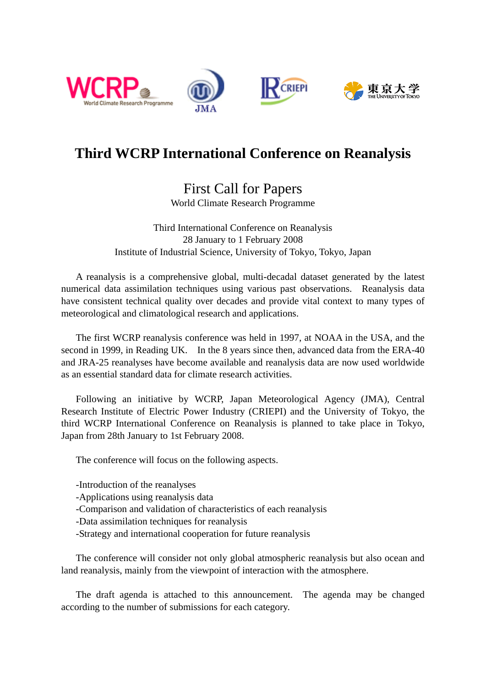







## **Third WCRP International Conference on Reanalysis**

## First Call for Papers World Climate Research Programme

Third International Conference on Reanalysis 28 January to 1 February 2008 Institute of Industrial Science, University of Tokyo, Tokyo, Japan

A reanalysis is a comprehensive global, multi-decadal dataset generated by the latest numerical data assimilation techniques using various past observations. Reanalysis data have consistent technical quality over decades and provide vital context to many types of meteorological and climatological research and applications.

The first WCRP reanalysis conference was held in 1997, at NOAA in the USA, and the second in 1999, in Reading UK. In the 8 years since then, advanced data from the ERA-40 and JRA-25 reanalyses have become available and reanalysis data are now used worldwide as an essential standard data for climate research activities.

Following an initiative by WCRP, Japan Meteorological Agency (JMA), Central Research Institute of Electric Power Industry (CRIEPI) and the University of Tokyo, the third WCRP International Conference on Reanalysis is planned to take place in Tokyo, Japan from 28th January to 1st February 2008.

The conference will focus on the following aspects.

-Introduction of the reanalyses

-Applications using reanalysis data

-Comparison and validation of characteristics of each reanalysis

-Data assimilation techniques for reanalysis

-Strategy and international cooperation for future reanalysis

The conference will consider not only global atmospheric reanalysis but also ocean and land reanalysis, mainly from the viewpoint of interaction with the atmosphere.

The draft agenda is attached to this announcement. The agenda may be changed according to the number of submissions for each category.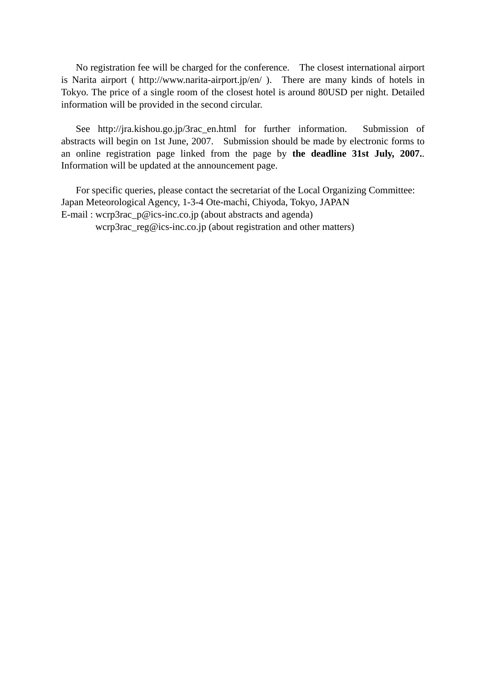No registration fee will be charged for the conference. The closest international airport is Narita airport ( http://www.narita-airport.jp/en/ ). There are many kinds of hotels in Tokyo. The price of a single room of the closest hotel is around 80USD per night. Detailed information will be provided in the second circular.

See http://jra.kishou.go.jp/3rac\_en.html for further information. Submission of abstracts will begin on 1st June, 2007. Submission should be made by electronic forms to an online registration page linked from the page by **the deadline 31st July, 2007.**. Information will be updated at the announcement page.

For specific queries, please contact the secretariat of the Local Organizing Committee: Japan Meteorological Agency, 1-3-4 Ote-machi, Chiyoda, Tokyo, JAPAN E-mail : wcrp3rac\_p@ics-inc.co.jp (about abstracts and agenda) wcrp3rac\_reg@ics-inc.co.jp (about registration and other matters)